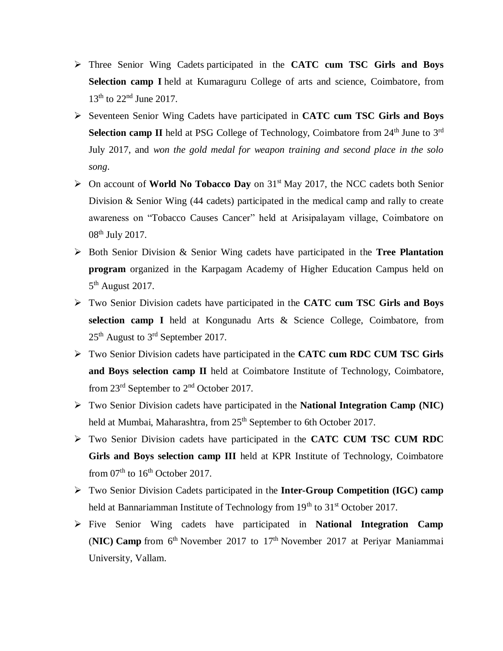- Three Senior Wing Cadets participated in the **CATC cum TSC Girls and Boys Selection camp I** held at Kumaraguru College of arts and science, Coimbatore, from 13<sup>th</sup> to 22<sup>nd</sup> June 2017.
- Seventeen Senior Wing Cadets have participated in **CATC cum TSC Girls and Boys Selection camp II** held at PSG College of Technology, Coimbatore from 24<sup>th</sup> June to 3<sup>rd</sup> July 2017, and *won the gold medal for weapon training and second place in the solo song*.
- $\triangleright$  On account of **World No Tobacco Day** on 31<sup>st</sup> May 2017, the NCC cadets both Senior Division & Senior Wing (44 cadets) participated in the medical camp and rally to create awareness on "Tobacco Causes Cancer" held at Arisipalayam village, Coimbatore on 08th July 2017.
- Both Senior Division & Senior Wing cadets have participated in the **Tree Plantation program** organized in the Karpagam Academy of Higher Education Campus held on  $5<sup>th</sup>$  August 2017.
- Two Senior Division cadets have participated in the **CATC cum TSC Girls and Boys selection camp I** held at Kongunadu Arts & Science College, Coimbatore, from 25<sup>th</sup> August to 3<sup>rd</sup> September 2017.
- Two Senior Division cadets have participated in the **CATC cum RDC CUM TSC Girls and Boys selection camp II** held at Coimbatore Institute of Technology, Coimbatore, from 23rd September to 2nd October 2017.
- Two Senior Division cadets have participated in the **National Integration Camp (NIC)** held at Mumbai, Maharashtra, from 25<sup>th</sup> September to 6th October 2017.
- Two Senior Division cadets have participated in the **CATC CUM TSC CUM RDC Girls and Boys selection camp III** held at KPR Institute of Technology, Coimbatore from  $07<sup>th</sup>$  to  $16<sup>th</sup>$  October 2017.
- Two Senior Division Cadets participated in the **Inter-Group Competition (IGC) camp** held at Bannariamman Institute of Technology from 19<sup>th</sup> to 31<sup>st</sup> October 2017.
- Five Senior Wing cadets have participated in **National Integration Camp** (NIC) Camp from 6<sup>th</sup> November 2017 to 17<sup>th</sup> November 2017 at Periyar Maniammai University, Vallam.